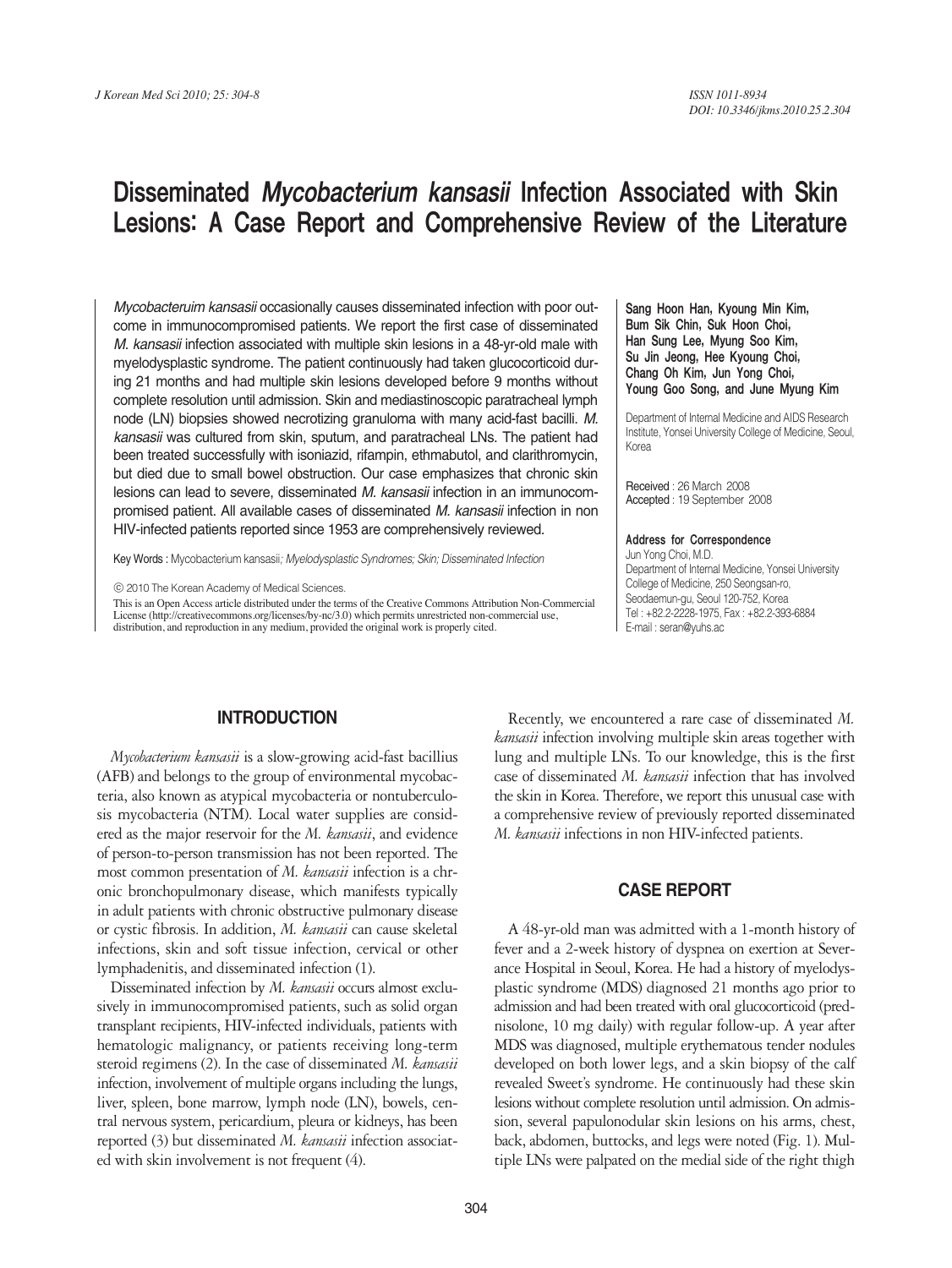# Disseminated Mycobacterium kansasii Infection Associated with Skin Lesions: A Case Report and Comprehensive Review of the Literature

*Mycobacteruim kansasii* occasionally causes disseminated infection with poor outcome in immunocompromised patients. We report the first case of disseminated *M. kansasii* infection associated with multiple skin lesions in a 48-yr-old male with myelodysplastic syndrome. The patient continuously had taken glucocorticoid during 21 months and had multiple skin lesions developed before 9 months without complete resolution until admission. Skin and mediastinoscopic paratracheal lymph node (LN) biopsies showed necrotizing granuloma with many acid-fast bacilli. *M. kansasii* was cultured from skin, sputum, and paratracheal LNs. The patient had been treated successfully with isoniazid, rifampin, ethmabutol, and clarithromycin, but died due to small bowel obstruction. Our case emphasizes that chronic skin lesions can lead to severe, disseminated *M. kansasii* infection in an immunocompromised patient. All available cases of disseminated *M. kansasii* infection in non HIV-infected patients reported since 1953 are comprehensively reviewed.

Key Words : Mycobacterium kansasii*; Myelodysplastic Syndromes; Skin; Disseminated Infection*

ⓒ 2010 The Korean Academy of Medical Sciences.

This is an Open Access article distributed under the terms of the Creative Commons Attribution Non-Commercial License (http://creativecommons.org/licenses/by-nc/3.0) which permits unrestricted non-commercial use, distribution, and reproduction in any medium, provided the original work is properly cited.

#### **INTRODUCTION**

*Mycobacterium kansasii* is a slow-growing acid-fast bacillius (AFB) and belongs to the group of environmental mycobacteria, also known as atypical mycobacteria or nontuberculosis mycobacteria (NTM). Local water supplies are considered as the major reservoir for the *M. kansasii*, and evidence of person-to-person transmission has not been reported. The most common presentation of *M. kansasii* infection is a chronic bronchopulmonary disease, which manifests typically in adult patients with chronic obstructive pulmonary disease or cystic fibrosis. In addition, *M. kansasii* can cause skeletal infections, skin and soft tissue infection, cervical or other lymphadenitis, and disseminated infection (1).

Disseminated infection by *M. kansasii* occurs almost exclusively in immunocompromised patients, such as solid organ transplant recipients, HIV-infected individuals, patients with hematologic malignancy, or patients receiving long-term steroid regimens (2). In the case of disseminated *M. kansasii* infection, involvement of multiple organs including the lungs, liver, spleen, bone marrow, lymph node (LN), bowels, central nervous system, pericardium, pleura or kidneys, has been reported (3) but disseminated *M. kansasii* infection associated with skin involvement is not frequent (4).

Bum Sik Chin, Suk Hoon Choi, Han Sung Lee, Myung Soo Kim, Su Jin Jeong, Hee Kyoung Choi, Chang Oh Kim, Jun Yong Choi, Young Goo Song, and June Myung Kim

Sang Hoon Han, Kyoung Min Kim,

Department of Internal Medicine and AIDS Research Institute, Yonsei University College of Medicine, Seoul, Korea

Received : 26 March 2008 Accepted : 19 September 2008

#### Address for Correspondence

Jun Yong Choi, M.D. Department of Internal Medicine, Yonsei University College of Medicine, 250 Seongsan-ro, Seodaemun-gu, Seoul 120-752, Korea Tel : +82.2-2228-1975, Fax : +82.2-393-6884 E-mail : seran@yuhs.ac

Recently, we encountered a rare case of disseminated *M. kansasii* infection involving multiple skin areas together with lung and multiple LNs. To our knowledge, this is the first case of disseminated *M. kansasii* infection that has involved the skin in Korea. Therefore, we report this unusual case with a comprehensive review of previously reported disseminated *M. kansasii* infections in non HIV-infected patients.

#### **CASE REPORT**

A 48-yr-old man was admitted with a 1-month history of fever and a 2-week history of dyspnea on exertion at Severance Hospital in Seoul, Korea. He had a history of myelodysplastic syndrome (MDS) diagnosed 21 months ago prior to admission and had been treated with oral glucocorticoid (prednisolone, 10 mg daily) with regular follow-up. A year after MDS was diagnosed, multiple erythematous tender nodules developed on both lower legs, and a skin biopsy of the calf revealed Sweet's syndrome. He continuously had these skin lesions without complete resolution until admission. On admission, several papulonodular skin lesions on his arms, chest, back, abdomen, buttocks, and legs were noted (Fig. 1). Multiple LNs were palpated on the medial side of the right thigh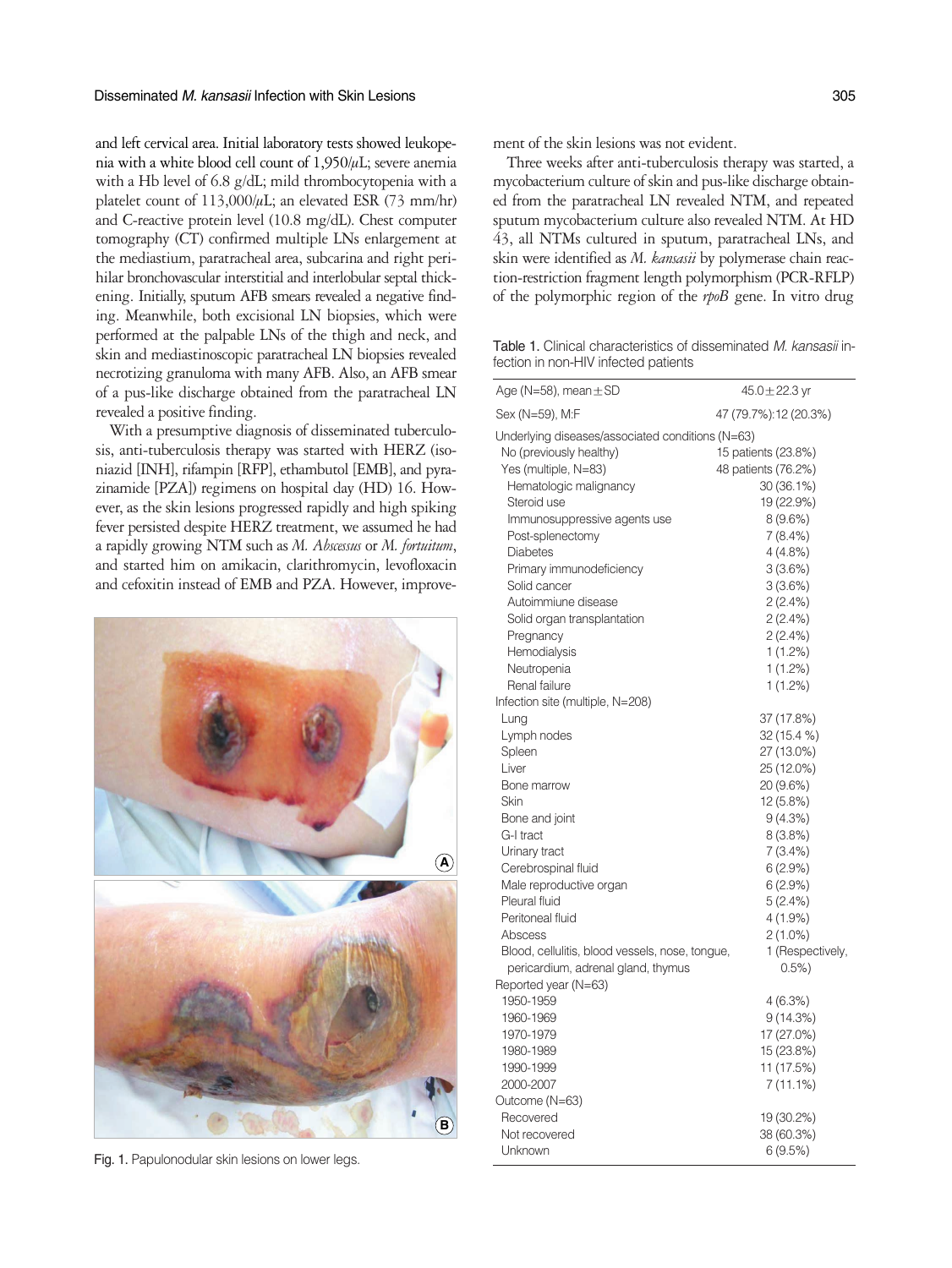and left cervical area. Initial laboratory tests showed leukopenia with a white blood cell count of  $1.950/\mu$ L; severe anemia with a Hb level of 6.8 g/dL; mild thrombocytopenia with a platelet count of  $113,000/\mu$ L; an elevated ESR (73 mm/hr) and C-reactive protein level (10.8 mg/dL). Chest computer tomography (CT) confirmed multiple LNs enlargement at the mediastium, paratracheal area, subcarina and right perihilar bronchovascular interstitial and interlobular septal thickening. Initially, sputum AFB smears revealed a negative finding. Meanwhile, both excisional LN biopsies, which were performed at the palpable LNs of the thigh and neck, and skin and mediastinoscopic paratracheal LN biopsies revealed necrotizing granuloma with many AFB. Also, an AFB smear of a pus-like discharge obtained from the paratracheal LN revealed a positive finding.

With a presumptive diagnosis of disseminated tuberculosis, anti-tuberculosis therapy was started with HERZ (isoniazid [INH], rifampin [RFP], ethambutol [EMB], and pyrazinamide [PZA]) regimens on hospital day (HD) 16. However, as the skin lesions progressed rapidly and high spiking fever persisted despite HERZ treatment, we assumed he had a rapidly growing NTM such as *M. Abscessus* or *M. fortuitum*, and started him on amikacin, clarithromycin, levofloxacin and cefoxitin instead of EMB and PZA. However, improve-



Fig. 1. Papulonodular skin lesions on lower legs.

ment of the skin lesions was not evident.

Three weeks after anti-tuberculosis therapy was started, a mycobacterium culture of skin and pus-like discharge obtained from the paratracheal LN revealed NTM, and repeated sputum mycobacterium culture also revealed NTM. At HD 43, all NTMs cultured in sputum, paratracheal LNs, and skin were identified as *M. kansasii* by polymerase chain reaction-restriction fragment length polymorphism (PCR-RFLP) of the polymorphic region of the *rpoB* gene. In vitro drug

Table 1. Clinical characteristics of disseminated *M. kansasii* infection in non-HIV infected patients

| Age (N=58), mean $\pm$ SD                        | $45.0 \pm 22.3$ yr    |
|--------------------------------------------------|-----------------------|
| Sex (N=59), M:F                                  | 47 (79.7%):12 (20.3%) |
| Underlying diseases/associated conditions (N=63) |                       |
| No (previously healthy)                          | 15 patients (23.8%)   |
| Yes (multiple, N=83)                             | 48 patients (76.2%)   |
| Hematologic malignancy                           | 30 (36.1%)            |
| Steroid use                                      | 19 (22.9%)            |
| Immunosuppressive agents use                     | $8(9.6\%)$            |
| Post-splenectomy                                 | $7(8.4\%)$            |
| <b>Diabetes</b>                                  | 4(4.8%)               |
| Primary immunodeficiency                         | 3(3.6%)               |
| Solid cancer                                     | 3(3.6%)               |
| Autoimmiune disease                              | 2(2.4%)               |
| Solid organ transplantation                      | 2(2.4%)               |
| Pregnancy                                        | 2(2.4%)               |
| Hemodialysis                                     | $1(1.2\%)$            |
| Neutropenia                                      | $1(1.2\%)$            |
| Renal failure                                    | $1(1.2\%)$            |
| Infection site (multiple, N=208)                 |                       |
| Lung                                             | 37 (17.8%)            |
| Lymph nodes                                      | 32 (15.4 %)           |
| Spleen                                           | 27 (13.0%)            |
| Liver                                            | 25 (12.0%)            |
| Bone marrow                                      | 20 (9.6%)             |
| Skin                                             | 12 (5.8%)             |
| Bone and joint                                   | 9(4.3%)               |
| G-I tract                                        | $8(3.8\%)$            |
| Urinary tract                                    | 7 (3.4%)              |
| Cerebrospinal fluid                              | 6(2.9%)               |
| Male reproductive organ                          | 6(2.9%)               |
| Pleural fluid                                    | 5(2.4%)               |
| Peritoneal fluid                                 | 4 (1.9%)              |
| Abscess                                          | $2(1.0\%)$            |
| Blood, cellulitis, blood vessels, nose, tongue,  | 1 (Respectively,      |
| pericardium, adrenal gland, thymus               | 0.5%                  |
| Reported year (N=63)                             |                       |
| 1950-1959                                        | 4(6.3%)               |
| 1960-1969                                        | 9(14.3%)              |
| 1970-1979                                        | 17 (27.0%)            |
| 1980-1989                                        | 15 (23.8%)            |
| 1990-1999                                        | 11 (17.5%)            |
| 2000-2007                                        | 7 (11.1%)             |
| Outcome (N=63)                                   |                       |
| Recovered                                        | 19 (30.2%)            |
| Not recovered                                    | 38 (60.3%)            |
| Unknown                                          | 6(9.5%)               |
|                                                  |                       |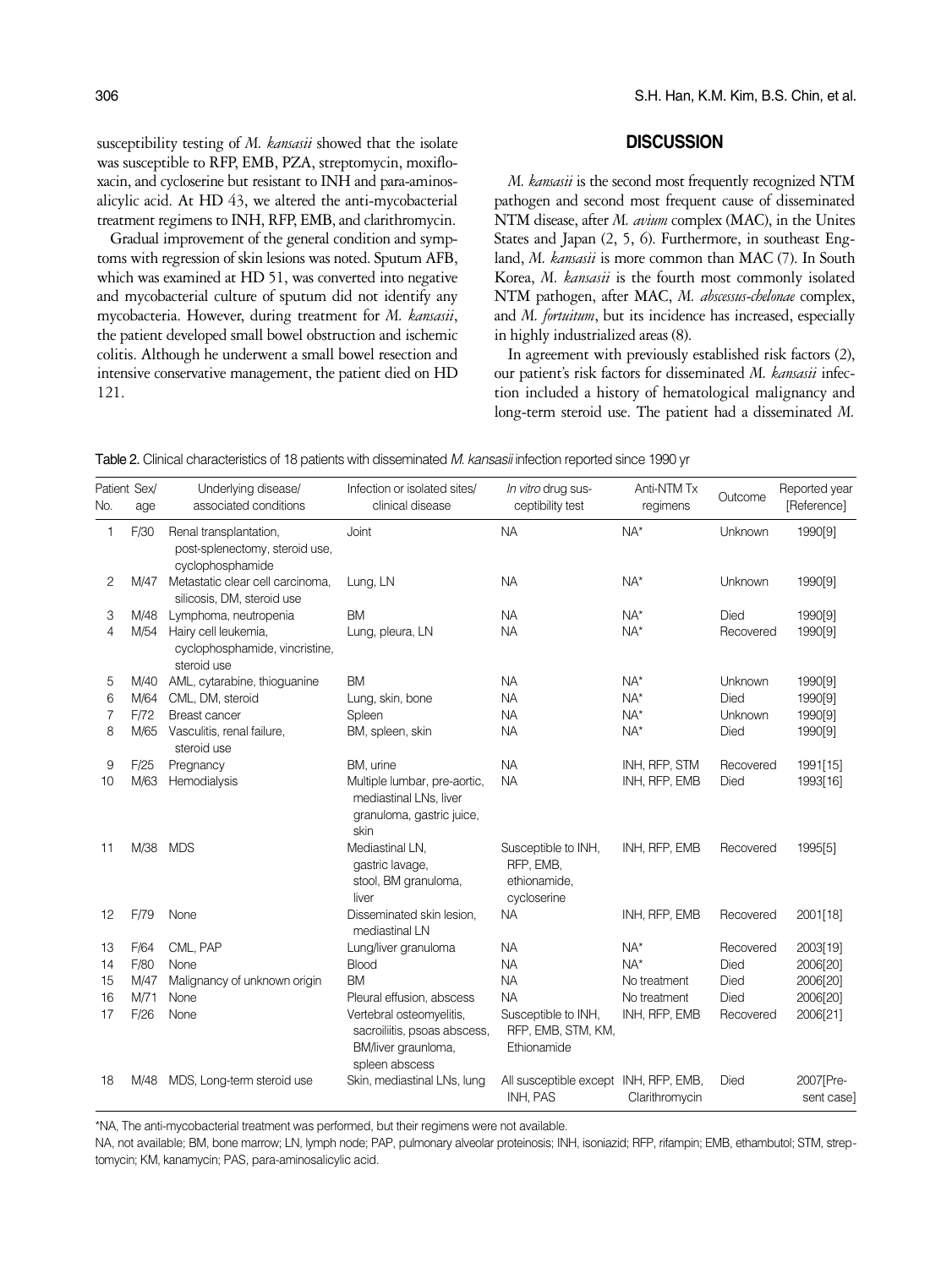susceptibility testing of *M. kansasii* showed that the isolate was susceptible to RFP, EMB, PZA, streptomycin, moxifloxacin, and cycloserine but resistant to INH and para-aminosalicylic acid. At HD 43, we altered the anti-mycobacterial treatment regimens to INH, RFP, EMB, and clarithromycin.

Gradual improvement of the general condition and symptoms with regression of skin lesions was noted. Sputum AFB, which was examined at HD 51, was converted into negative and mycobacterial culture of sputum did not identify any mycobacteria. However, during treatment for *M. kansasii*, the patient developed small bowel obstruction and ischemic colitis. Although he underwent a small bowel resection and intensive conservative management, the patient died on HD 121.

### **DISCUSSION**

*M. kansasii* is the second most frequently recognized NTM pathogen and second most frequent cause of disseminated NTM disease, after *M. avium* complex (MAC), in the Unites States and Japan (2, 5, 6). Furthermore, in southeast England, *M. kansasii* is more common than MAC (7). In South Korea, *M. kansasii* is the fourth most commonly isolated NTM pathogen, after MAC, *M. abscessus-chelonae* complex, and *M. fortuitum*, but its incidence has increased, especially in highly industrialized areas (8).

In agreement with previously established risk factors (2), our patient's risk factors for disseminated *M. kansasii* infection included a history of hematological malignancy and long-term steroid use. The patient had a disseminated *M.*

|  |  |  |  | <b>Table 2.</b> Clinical characteristics of 18 patients with disseminated <i>M. kansasii</i> infection reported since 1990 vr |  |  |  |  |  |  |  |  |  |  |  |  |
|--|--|--|--|-------------------------------------------------------------------------------------------------------------------------------|--|--|--|--|--|--|--|--|--|--|--|--|
|--|--|--|--|-------------------------------------------------------------------------------------------------------------------------------|--|--|--|--|--|--|--|--|--|--|--|--|

| No.            | Patient Sex/<br>age | Underlying disease/<br>associated conditions                                 | Infection or isolated sites/<br>clinical disease                                                  | In vitro drug sus-<br>ceptibility test                          | Anti-NTM Tx<br>regimens | Outcome   | Reported year<br>[Reference] |
|----------------|---------------------|------------------------------------------------------------------------------|---------------------------------------------------------------------------------------------------|-----------------------------------------------------------------|-------------------------|-----------|------------------------------|
| $\mathbf{1}$   | F/30                | Renal transplantation,<br>post-splenectomy, steroid use,<br>cyclophosphamide | Joint                                                                                             | <b>NA</b>                                                       | $NA*$                   | Unknown   | 1990[9]                      |
| 2              |                     | M/47 Metastatic clear cell carcinoma,<br>silicosis, DM, steroid use          | Lung, LN                                                                                          | <b>NA</b>                                                       | $NA*$                   | Unknown   | 1990[9]                      |
| 3              | M/48                | Lymphoma, neutropenia                                                        | <b>BM</b>                                                                                         | <b>NA</b>                                                       | $NA*$                   | Died      | 1990[9]                      |
| 4              |                     | M/54 Hairy cell leukemia,<br>cyclophosphamide, vincristine,<br>steroid use   | Lung, pleura, LN                                                                                  | <b>NA</b>                                                       | $NA*$                   | Recovered | 1990[9]                      |
| 5              | M/40                | AML, cytarabine, thioguanine                                                 | <b>BM</b>                                                                                         | <b>NA</b>                                                       | $NA*$                   | Unknown   | 1990[9]                      |
| 6              | M/64                | CML, DM, steroid                                                             | Lung, skin, bone                                                                                  | <b>NA</b>                                                       | $NA*$                   | Died      | 1990[9]                      |
| $\overline{7}$ | F/72                | <b>Breast cancer</b>                                                         | Spleen                                                                                            | <b>NA</b>                                                       | $NA^*$                  | Unknown   | 1990[9]                      |
| 8              | M/65                | Vasculitis, renal failure,<br>steroid use                                    | BM, spleen, skin                                                                                  | <b>NA</b>                                                       | $NA^*$                  | Died      | 1990[9]                      |
| 9              | F/25                | Pregnancy                                                                    | BM, urine                                                                                         | <b>NA</b>                                                       | INH, RFP, STM           | Recovered | 1991[15]                     |
| 10             | M/63                | Hemodialysis                                                                 | Multiple lumbar, pre-aortic,<br>mediastinal LNs, liver<br>granuloma, gastric juice,<br>skin       | <b>NA</b>                                                       | INH, RFP, EMB           | Died      | 1993[16]                     |
| 11             |                     | M/38 MDS                                                                     | Mediastinal LN.<br>gastric lavage,<br>stool, BM granuloma,<br>liver                               | Susceptible to INH,<br>RFP, EMB,<br>ethionamide,<br>cycloserine | INH, RFP, EMB           | Recovered | 1995[5]                      |
| 12             | F/79                | None                                                                         | Disseminated skin lesion,<br>mediastinal LN                                                       | <b>NA</b>                                                       | INH, RFP, EMB           | Recovered | 2001[18]                     |
| 13             | F/64                | CML, PAP                                                                     | Lung/liver granuloma                                                                              | <b>NA</b>                                                       | $NA^*$                  | Recovered | 2003[19]                     |
| 14             | F/80                | None                                                                         | <b>Blood</b>                                                                                      | <b>NA</b>                                                       | $NA*$                   | Died      | 2006[20]                     |
| 15             | M/47                | Malignancy of unknown origin                                                 | <b>BM</b>                                                                                         | <b>NA</b>                                                       | No treatment            | Died      | 2006[20]                     |
| 16             | M/71                | None                                                                         | Pleural effusion, abscess                                                                         | <b>NA</b>                                                       | No treatment            | Died      | 2006[20]                     |
| 17             | F/26                | None                                                                         | Vertebral osteomyelitis,<br>sacroiliitis, psoas abscess,<br>BM/liver graunloma,<br>spleen abscess | Susceptible to INH,<br>RFP, EMB, STM, KM,<br>Ethionamide        | INH, RFP, EMB           | Recovered | 2006[21]                     |
| 18             | M/48                | MDS, Long-term steroid use                                                   | Skin, mediastinal LNs, lung                                                                       | All susceptible except INH, RFP, EMB,<br>INH, PAS               | Clarithromycin          | Died      | 2007 [Pre-<br>sent case]     |

\*NA, The anti-mycobacterial treatment was performed, but their regimens were not available.

NA, not available; BM, bone marrow; LN, lymph node; PAP, pulmonary alveolar proteinosis; INH, isoniazid; RFP, rifampin; EMB, ethambutol; STM, streptomycin; KM, kanamycin; PAS, para-aminosalicylic acid.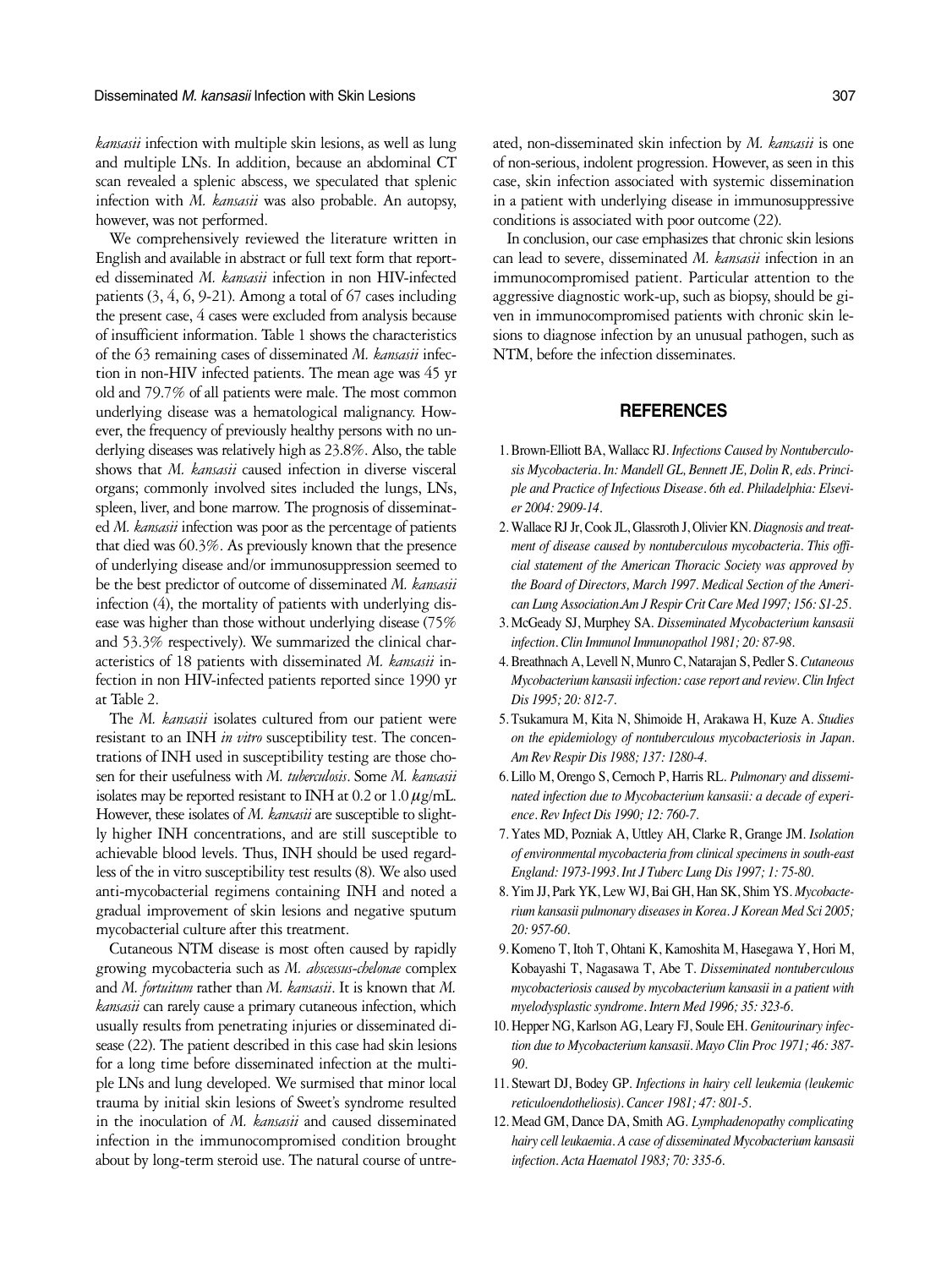*kansasii* infection with multiple skin lesions, as well as lung and multiple LNs. In addition, because an abdominal CT scan revealed a splenic abscess, we speculated that splenic infection with *M. kansasii* was also probable. An autopsy, however, was not performed.

We comprehensively reviewed the literature written in English and available in abstract or full text form that reported disseminated *M. kansasii* infection in non HIV-infected patients (3, 4, 6, 9-21). Among a total of 67 cases including the present case, 4 cases were excluded from analysis because of insufficient information. Table 1 shows the characteristics of the 63 remaining cases of disseminated *M. kansasii* infection in non-HIV infected patients. The mean age was 45 yr old and 79.7% of all patients were male. The most common underlying disease was a hematological malignancy. However, the frequency of previously healthy persons with no underlying diseases was relatively high as 23.8%. Also, the table shows that *M. kansasii* caused infection in diverse visceral organs; commonly involved sites included the lungs, LNs, spleen, liver, and bone marrow. The prognosis of disseminated *M. kansasii* infection was poor as the percentage of patients that died was 60.3%. As previously known that the presence of underlying disease and/or immunosuppression seemed to be the best predictor of outcome of disseminated *M. kansasii* infection (4), the mortality of patients with underlying disease was higher than those without underlying disease (75% and 53.3% respectively). We summarized the clinical characteristics of 18 patients with disseminated *M. kansasii* infection in non HIV-infected patients reported since 1990 yr at Table 2.

The *M. kansasii* isolates cultured from our patient were resistant to an INH *in vitro* susceptibility test. The concentrations of INH used in susceptibility testing are those chosen for their usefulness with *M. tuberculosis*. Some *M. kansasii* isolates may be reported resistant to INH at 0.2 or 1.0  $\mu$ g/mL. However, these isolates of *M. kansasii* are susceptible to slightly higher INH concentrations, and are still susceptible to achievable blood levels. Thus, INH should be used regardless of the in vitro susceptibility test results (8). We also used anti-mycobacterial regimens containing INH and noted a gradual improvement of skin lesions and negative sputum mycobacterial culture after this treatment.

Cutaneous NTM disease is most often caused by rapidly growing mycobacteria such as *M. abscessus-chelonae* complex and *M. fortuitum* rather than *M. kansasii*. It is known that *M. kansasii* can rarely cause a primary cutaneous infection, which usually results from penetrating injuries or disseminated disease (22). The patient described in this case had skin lesions for a long time before disseminated infection at the multiple LNs and lung developed. We surmised that minor local trauma by initial skin lesions of Sweet's syndrome resulted in the inoculation of *M. kansasii* and caused disseminated infection in the immunocompromised condition brought about by long-term steroid use. The natural course of untre-

ated, non-disseminated skin infection by *M. kansasii* is one of non-serious, indolent progression. However, as seen in this case, skin infection associated with systemic dissemination in a patient with underlying disease in immunosuppressive conditions is associated with poor outcome (22).

In conclusion, our case emphasizes that chronic skin lesions can lead to severe, disseminated *M. kansasii* infection in an immunocompromised patient. Particular attention to the aggressive diagnostic work-up, such as biopsy, should be given in immunocompromised patients with chronic skin lesions to diagnose infection by an unusual pathogen, such as NTM, before the infection disseminates.

## **REFERENCES**

- 1. Brown-Elliott BA, Wallacc RJ. *Infections Caused by Nontuberculosis Mycobacteria. In: Mandell GL, Bennett JE, Dolin R, eds. Principle and Practice of Infectious Disease. 6th ed. Philadelphia: Elsevier 2004: 2909-14.*
- 2. Wallace RJ Jr, Cook JL, Glassroth J, Olivier KN. *Diagnosis and treatment of disease caused by nontuberculous mycobacteria. This official statement of the American Thoracic Society was approved by the Board of Directors, March 1997. Medical Section of the American Lung Association.Am J Respir Crit Care Med 1997; 156: S1-25.*
- 3. McGeady SJ, Murphey SA. *Disseminated Mycobacterium kansasii infection. Clin Immunol Immunopathol 1981; 20: 87-98.*
- 4. Breathnach A, Levell N, Munro C, Natarajan S, Pedler S. *Cutaneous Mycobacterium kansasii infection: case report and review. Clin Infect Dis 1995; 20: 812-7.*
- 5. Tsukamura M, Kita N, Shimoide H, Arakawa H, Kuze A. *Studies on the epidemiology of nontuberculous mycobacteriosis in Japan. Am Rev Respir Dis 1988; 137: 1280-4.*
- 6. Lillo M, Orengo S, Cernoch P, Harris RL. *Pulmonary and disseminated infection due to Mycobacterium kansasii: a decade of experience. Rev Infect Dis 1990; 12: 760-7.*
- 7. Yates MD, Pozniak A, Uttley AH, Clarke R, Grange JM. *Isolation of environmental mycobacteria from clinical specimens in south-east England: 1973-1993. Int J Tuberc Lung Dis 1997; 1: 75-80.*
- 8. Yim JJ, Park YK, Lew WJ, Bai GH, Han SK, Shim YS. *Mycobacterium kansasii pulmonary diseases in Korea. J Korean Med Sci 2005; 20: 957-60.*
- 9. Komeno T, Itoh T, Ohtani K, Kamoshita M, Hasegawa Y, Hori M, Kobayashi T, Nagasawa T, Abe T. *Disseminated nontuberculous mycobacteriosis caused by mycobacterium kansasii in a patient with myelodysplastic syndrome. Intern Med 1996; 35: 323-6.*
- 10. Hepper NG, Karlson AG, Leary FJ, Soule EH. *Genitourinary infection due to Mycobacterium kansasii. Mayo Clin Proc 1971; 46: 387- 90.*
- 11. Stewart DJ, Bodey GP. *Infections in hairy cell leukemia (leukemic reticuloendotheliosis). Cancer 1981; 47: 801-5.*
- 12. Mead GM, Dance DA, Smith AG. *Lymphadenopathy complicating hairy cell leukaemia. A case of disseminated Mycobacterium kansasii infection. Acta Haematol 1983; 70: 335-6.*